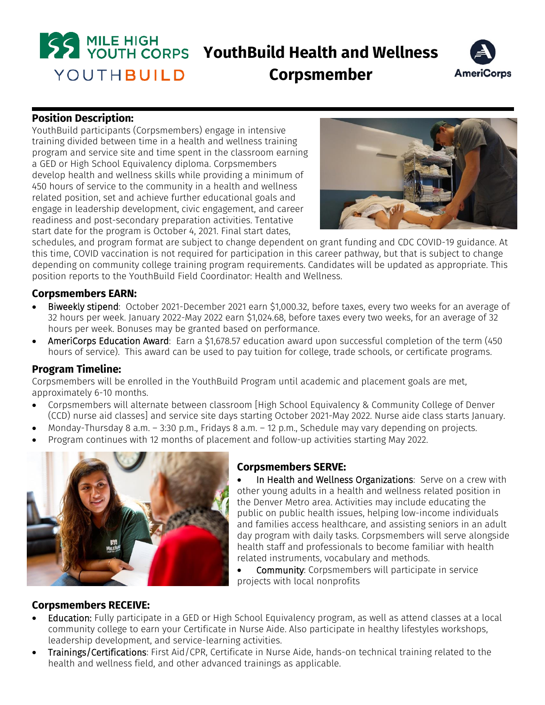



**Corpsmember**

#### **Position Description:**

YouthBuild participants (Corpsmembers) engage in intensive training divided between time in a health and wellness training program and service site and time spent in the classroom earning a GED or High School Equivalency diploma. Corpsmembers develop health and wellness skills while providing a minimum of 450 hours of service to the community in a health and wellness related position, set and achieve further educational goals and engage in leadership development, civic engagement, and career readiness and post-secondary preparation activities. Tentative start date for the program is October 4, 2021. Final start dates,



schedules, and program format are subject to change dependent on grant funding and CDC COVID-19 guidance. At this time, COVID vaccination is not required for participation in this career pathway, but that is subject to change depending on community college training program requirements. Candidates will be updated as appropriate. This position reports to the YouthBuild Field Coordinator: Health and Wellness.

#### **Corpsmembers EARN:**

- Biweekly stipend: October 2021-December 2021 earn \$1,000.32, before taxes, every two weeks for an average of 32 hours per week. January 2022-May 2022 earn \$1,024.68, before taxes every two weeks, for an average of 32 hours per week. Bonuses may be granted based on performance.
- AmeriCorps Education Award: Earn a \$1,678.57 education award upon successful completion of the term (450) hours of service). This award can be used to pay tuition for college, trade schools, or certificate programs.

#### **Program Timeline:**

Corpsmembers will be enrolled in the YouthBuild Program until academic and placement goals are met, approximately 6-10 months.

- Corpsmembers will alternate between classroom [High School Equivalency & Community College of Denver (CCD) nurse aid classes] and service site days starting October 2021-May 2022. Nurse aide class starts January.
- Monday-Thursday 8 a.m. 3:30 p.m., Fridays 8 a.m. 12 p.m., Schedule may vary depending on projects.
- Program continues with 12 months of placement and follow-up activities starting May 2022.



# **Corpsmembers SERVE:**

In Health and Wellness Organizations: Serve on a crew with other young adults in a health and wellness related position in the Denver Metro area. Activities may include educating the public on public health issues, helping low-income individuals and families access healthcare, and assisting seniors in an adult day program with daily tasks. Corpsmembers will serve alongside health staff and professionals to become familiar with health related instruments, vocabulary and methods.

 Community: Corpsmembers will participate in service projects with local nonprofits

# **Corpsmembers RECEIVE:**

- Education: Fully participate in a GED or High School Equivalency program, as well as attend classes at a local community college to earn your Certificate in Nurse Aide. Also participate in healthy lifestyles workshops, leadership development, and service-learning activities.
- Trainings/Certifications: First Aid/CPR, Certificate in Nurse Aide, hands-on technical training related to the health and wellness field, and other advanced trainings as applicable.